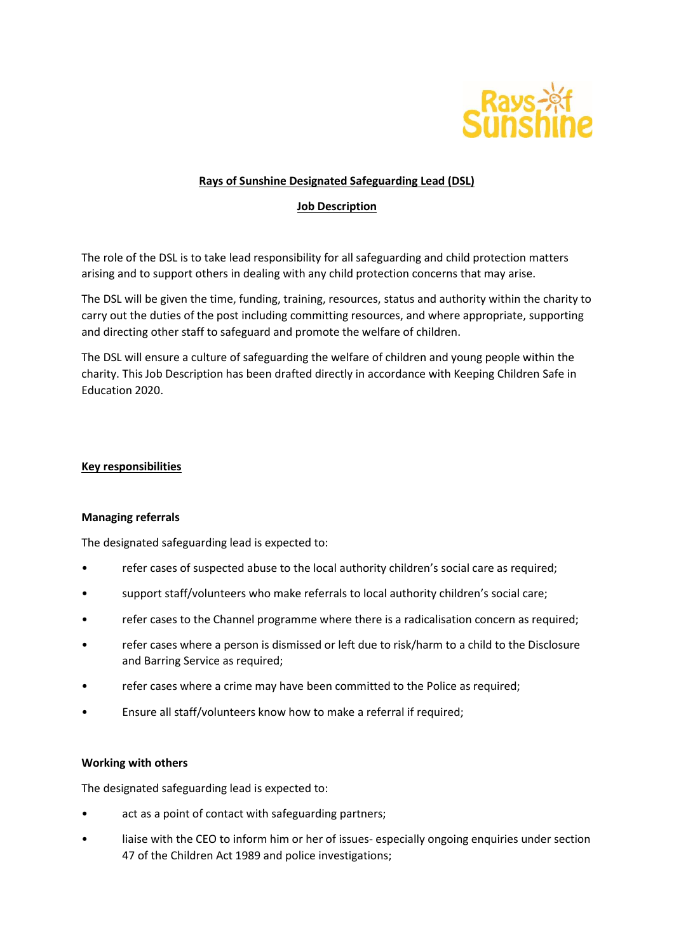

## **Rays of Sunshine Designated Safeguarding Lead (DSL)**

## **Job Description**

The role of the DSL is to take lead responsibility for all safeguarding and child protection matters arising and to support others in dealing with any child protection concerns that may arise.

The DSL will be given the time, funding, training, resources, status and authority within the charity to carry out the duties of the post including committing resources, and where appropriate, supporting and directing other staff to safeguard and promote the welfare of children.

The DSL will ensure a culture of safeguarding the welfare of children and young people within the charity. This Job Description has been drafted directly in accordance with Keeping Children Safe in Education 2020.

### **Key responsibilities**

### **Managing referrals**

The designated safeguarding lead is expected to:

- refer cases of suspected abuse to the local authority children's social care as required;
- support staff/volunteers who make referrals to local authority children's social care;
- refer cases to the Channel programme where there is a radicalisation concern as required;
- refer cases where a person is dismissed or left due to risk/harm to a child to the Disclosure and Barring Service as required;
- refer cases where a crime may have been committed to the Police as required;
- Ensure all staff/volunteers know how to make a referral if required;

## **Working with others**

The designated safeguarding lead is expected to:

- act as a point of contact with safeguarding partners;
- liaise with the CEO to inform him or her of issues- especially ongoing enquiries under section 47 of the Children Act 1989 and police investigations;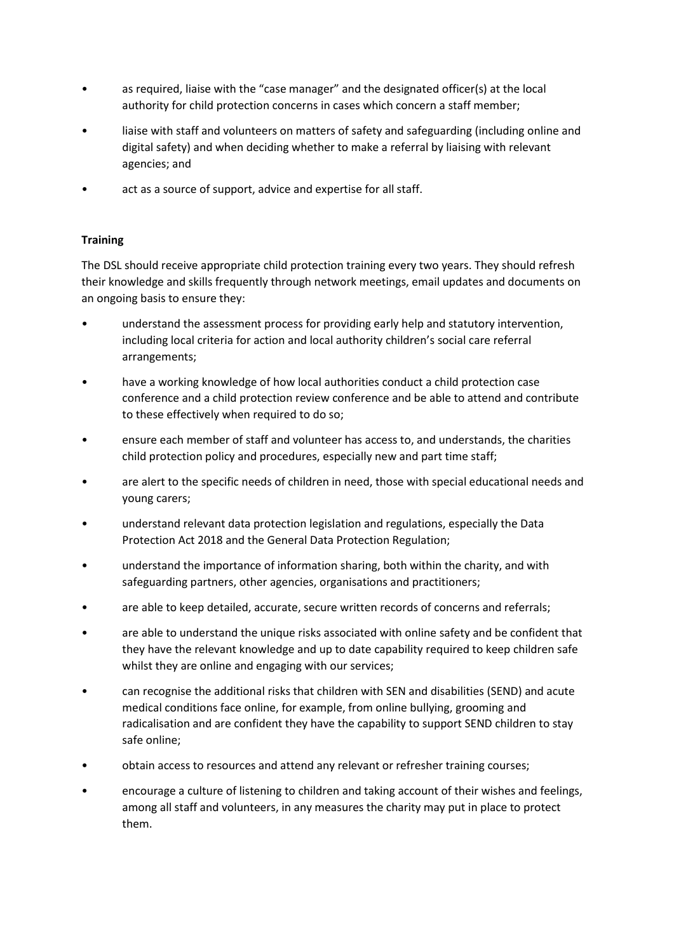- as required, liaise with the "case manager" and the designated officer(s) at the local authority for child protection concerns in cases which concern a staff member;
- liaise with staff and volunteers on matters of safety and safeguarding (including online and digital safety) and when deciding whether to make a referral by liaising with relevant agencies; and
- act as a source of support, advice and expertise for all staff.

# **Training**

The DSL should receive appropriate child protection training every two years. They should refresh their knowledge and skills frequently through network meetings, email updates and documents on an ongoing basis to ensure they:

- understand the assessment process for providing early help and statutory intervention, including local criteria for action and local authority children's social care referral arrangements;
- have a working knowledge of how local authorities conduct a child protection case conference and a child protection review conference and be able to attend and contribute to these effectively when required to do so;
- ensure each member of staff and volunteer has access to, and understands, the charities child protection policy and procedures, especially new and part time staff;
- are alert to the specific needs of children in need, those with special educational needs and young carers;
- understand relevant data protection legislation and regulations, especially the Data Protection Act 2018 and the General Data Protection Regulation;
- understand the importance of information sharing, both within the charity, and with safeguarding partners, other agencies, organisations and practitioners;
- are able to keep detailed, accurate, secure written records of concerns and referrals;
- are able to understand the unique risks associated with online safety and be confident that they have the relevant knowledge and up to date capability required to keep children safe whilst they are online and engaging with our services;
- can recognise the additional risks that children with SEN and disabilities (SEND) and acute medical conditions face online, for example, from online bullying, grooming and radicalisation and are confident they have the capability to support SEND children to stay safe online;
- obtain access to resources and attend any relevant or refresher training courses;
- encourage a culture of listening to children and taking account of their wishes and feelings, among all staff and volunteers, in any measures the charity may put in place to protect them.